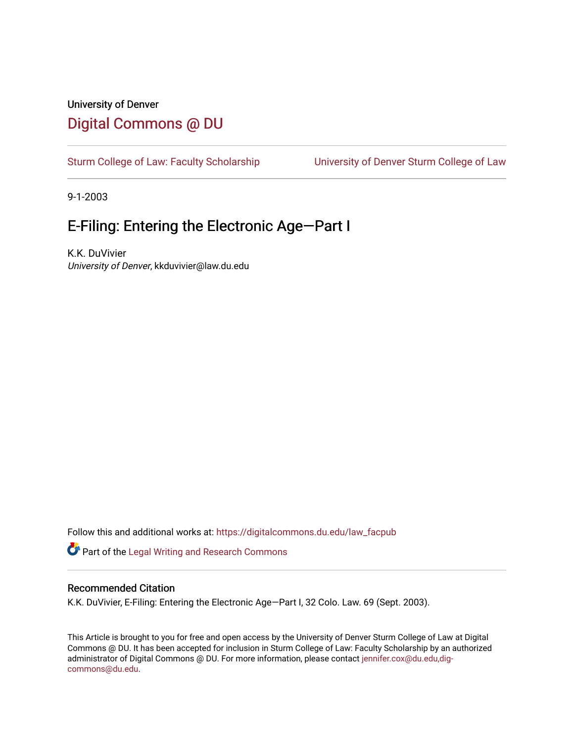# University of Denver [Digital Commons @ DU](https://digitalcommons.du.edu/)

[Sturm College of Law: Faculty Scholarship](https://digitalcommons.du.edu/law_facpub) [University of Denver Sturm College of Law](https://digitalcommons.du.edu/denver_law) 

9-1-2003

# E-Filing: Entering the Electronic Age—Part I

K.K. DuVivier University of Denver, kkduvivier@law.du.edu

Follow this and additional works at: [https://digitalcommons.du.edu/law\\_facpub](https://digitalcommons.du.edu/law_facpub?utm_source=digitalcommons.du.edu%2Flaw_facpub%2F407&utm_medium=PDF&utm_campaign=PDFCoverPages) 

Part of the [Legal Writing and Research Commons](http://network.bepress.com/hgg/discipline/614?utm_source=digitalcommons.du.edu%2Flaw_facpub%2F407&utm_medium=PDF&utm_campaign=PDFCoverPages) 

### Recommended Citation

K.K. DuVivier, E-Filing: Entering the Electronic Age—Part I, 32 Colo. Law. 69 (Sept. 2003).

This Article is brought to you for free and open access by the University of Denver Sturm College of Law at Digital Commons @ DU. It has been accepted for inclusion in Sturm College of Law: Faculty Scholarship by an authorized administrator of Digital Commons @ DU. For more information, please contact [jennifer.cox@du.edu,dig](mailto:jennifer.cox@du.edu,dig-commons@du.edu)[commons@du.edu.](mailto:jennifer.cox@du.edu,dig-commons@du.edu)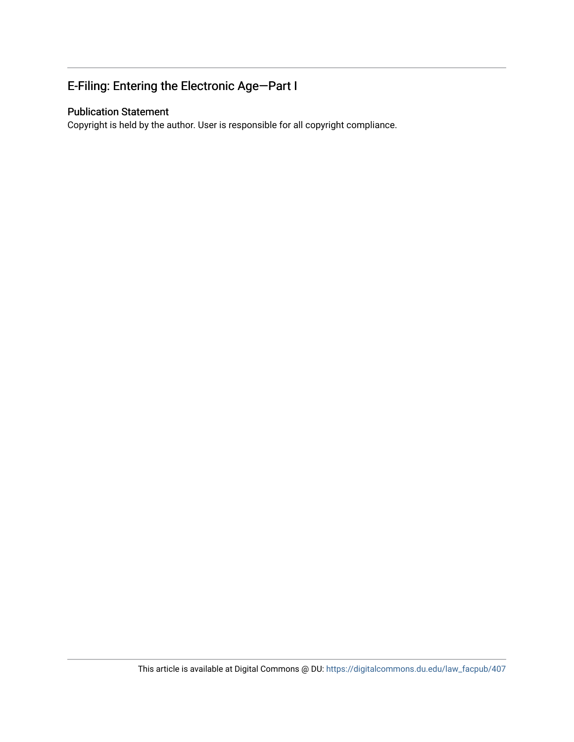# E-Filing: Entering the Electronic Age—Part I

### Publication Statement

Copyright is held by the author. User is responsible for all copyright compliance.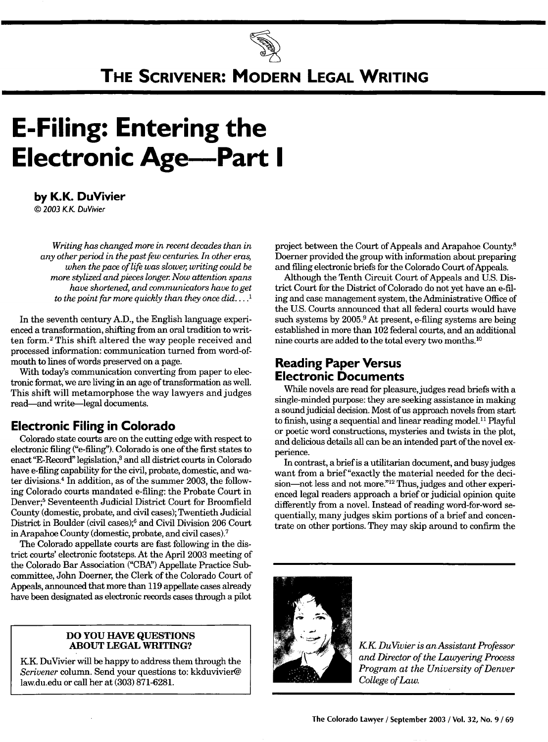

# **THE SCRIVENER: MODERN LEGAL WRITING**

# **E-Filing: Entering the Electronic Age-Part I**

**by K.K. DuVivier**

*©* 2003 *KI* DuVivier

*Writing has changed more in recent decades than in any other period in the past few centuries. In other eras, when the pace of life was slower, writing could be more stylized and pieces longer Now attention spans have shortened, and communicators have to get to the point far more quickly than they once did* .... **I**

In the seventh century A.D., the English language experienced a transformation, shifting from an oral tradition to written form. 2 This shift altered the way people received and processed information: communication turned from word-ofmouth to lines of words preserved on a page.

With today's communication converting from paper to electronic format, we are living in an age of transformation as well. This shift will metamorphose the way lawyers and judges read-and write-legal documents.

### **Electronic Filing in Colorado**

Colorado state courts are on the cutting edge with respect to electronic filing ("e-filing"). Colorado is one of the first states to enact "E-Record" legislation,<sup>3</sup> and all district courts in Colorado have e-filing capability for the civil, probate, domestic, and water divisions.4 In addition, as of the summer 2003, the following Colorado courts mandated e-filing: the Probate Court in Denver;5 Seventeenth Judicial District Court for Broomfield County (domestic, probate, and civil cases); Twentieth Judicial District in Boulder (civil cases);6 and Civil Division 206 Court in Arapahoe County (domestic, probate, and civil cases). <sup>7</sup>

The Colorado appellate courts are fast following in the district courts' electronic footsteps. At the April 2003 meeting of the Colorado Bar Association ("CBA") Appellate Practice Subcommittee, John Doerner, the Clerk of the Colorado Court of Appeals, announced that more than 119 appellate cases already have been designated as electronic records cases through a pilot

#### **DO YOU HAVE QUESTIONS ABOUT LEGAL WRITING?**

KK DuVivier will be happy to address them through the *Scrivener* column. Send your questions to: kkduvivier@ law.du.edu or call her at **(303) 871-6281.**

project between the Court of Appeals and Arapahoe County.8 Doerner provided the group with information about preparing and filing electronic briefs for the Colorado Court of Appeals.

Although the Tenth Circuit Court of Appeals and U.S. District Court for the District of Colorado do not yet have an e-filing and case management system, the Administrative Office of the U.S. Courts announced that all federal courts would have such systems by 2005.<sup>9</sup> At present, e-filing systems are being established in more than 102 federal courts, and an additional nine courts are added to the total every two months.10

## **Reading Paper Versus Electronic Documents**

While novels are read for pleasure, judges read briefs with a single-minded purpose: they are seeking assistance in making a sound judicial decision. Most of us approach novels from start to finish, using a sequential and linear reading model.<sup>11</sup> Playful or poetic word constructions, mysteries and twists in the plot, and delicious details all can be an intended part of the novel experience.

In contrast, a brief is a utilitarian document, and busy judges want from a brief "exactly the material needed for the decision-not less and not more."<sup>12</sup> Thus, judges and other experienced legal readers approach a brief or judicial opinion quite differently from a novel. Instead of reading word-for-word sequentially, many judges skim portions of a brief and concentrate on other portions. They may skip around to confirm the



*KK DuVivier is an Assistant Professor and Director of the Lawyering Process Program at the University of Denver College of Law.*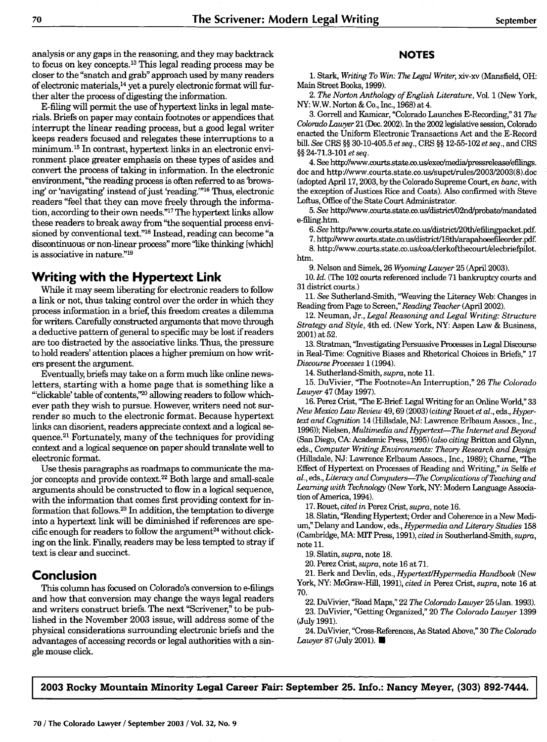analysis or any gaps in the reasoning, and they may backtrack to focus on key concepts.13 This legal reading process may be closer to the "snatch and grab" approach used by many readers of electronic materials,14 yet a purely electronic format will further alter the process of digesting the information.

E-filing will permit the use of hypertext links in legal materials. Briefs on paper may contain footnotes or appendices that interrupt the linear reading process, but a good legal writer keeps readers focused and relegates these interruptions to a minimum.<sup>15</sup> In contrast, hypertext links in an electronic environment place greater emphasis on these types of asides and convert the process of taking in information. In the electronic environment, "the reading process is often referred to as browsing' or 'navigating' instead of just 'reading."<sup>16</sup> Thus, electronic readers "feel that they can move freely through the information, according to their own needs."<sup>17</sup> The hypertext links allow these readers to break away from "the sequential process envisioned by conventional text."'8 Instead, reading can become "a discontinuous or non-linear process" more "like thinking [which] is associative in nature."19

### **Writing with the Hypertext Link**

While it may seem liberating for electronic readers to follow a link or not, thus taking control over the order in which they process information in a brief, this freedom creates a dilemma for writers. Carefully constructed arguments that move through a deductive pattern of general to specific may be lost if readers are too distracted by the associative links. Thus, the pressure to hold readers' attention places a higher premium on how writers present the argument.

Eventually, briefs may take on a form much like online newsletters, starting with a home page that is something like a "clickable' table of contents,"<sup>20</sup> allowing readers to follow whichever path they wish to pursue. However, writers need not surrender so much to the electronic format. Because hypertext links can disorient, readers appreciate context and a logical sequence.<sup>21</sup> Fortunately, many of the techniques for providing context and a logical sequence on paper should translate well to electronic format.

Use thesis paragraphs as roadmaps to communicate the major concepts and provide context.<sup>22</sup> Both large and small-scale arguments should be constructed to flow in a logical sequence, with the information that comes first providing context for information that follows. 23 In addition, the temptation to diverge into a hypertext link will be diminished if references are specific enough for readers to follow the argument<sup>24</sup> without clicking on the link. Finally, readers may be less tempted to stray if text is clear and succinct.

### **Conclusion**

This column has focused on Colorado's conversion to e-filings and how that conversion may change the ways legal readers and writers construct briefs. The next "Scrivener," to be published in the November 2003 issue, will address some of the physical considerations surrounding electronic briefs and the advantages of accessing records or legal authorities with a single mouse click.

#### **NOTES**

1. Stark, *Writing To Win: The Legal Writer,* xiv-xv (Mansfield, OH: Main Street Books, 1999).

2. *The Norton Anthology of English Literature,* Vol. 1 (New York, NY: W.W. Norton **&** Co., Inc., 1968) at 4.

3. Gorrell and Kamicar, "Colorado Launches E-Recording," 31 *The Colorado Lawyer* 21 (Dec. 2002). In the 2002 legislative session, Colorado enacted the Uniform Electronic Transactions Act and the E-Record bill. *See* CRS §§ 30-10-405.5 *et seq., CRS* §§ 12-55-102 *et seq.,* and *CRS* §§ 24-71.3-101 *et seq.*

4. See http://www.courts.state.co.us/exec/media/pressrelease/efilings. doc and http://www.courts.state.co.us/supct/rules/2003/2003(8).doc (adopted April 17,2003, by the Colorado Supreme Court, *en banc,* with the exception of Justices Rice and Coats). Also confirmed with Steve Loftus, Office of the State Court Administrator.

*5. See* http'Avww.courts.state.co.us/district/02nd/probate/mandated e-filing.htm.

6. See http://www.courts.state.co.us/district/20th/efilingpacket.pdf.

7. http/wvww.courts.state.co.us/district]l8th/arapahoeefileorder.pdf.

**8.** http/www.courts.state.co.us/coa/clerkofthecourt/elecbriefpilot. htm.

9. Nelson and Simek, 26 *Wyoming Lawyer* 25 (April 2003).

10. *Id.* (The 102 courts referenced include 71 bankruptcy courts and 31 district courts.)

*11. See* Sutherland-Smith, "Weaving the Literacy Web: Changes in Reading from Page to Screen," *Reading Teacher* (April 2002).

12. Neuman, Jr., *Legal Reasoning and Legal Writing: Structure Strategy and Style,* 4th ed. (New York, NY: Aspen Law & Business, 2001) at 52.

13. Stratman, "Investigating Persuasive Processes in Legal Discourse in Real-Time: Cognitive Biases and Rhetorical Choices in Briefs," 17 *Discourse Processes* 1 (1994).

14. Sutherland-Smith, *supra,* note 11.

15. DuVivier, 'The Footnote=An Interruption," 26 *The Colorado Lawyer* 47 (May 1997).

16. Perez Crist, "The E-Brief: Legal Writing for an Online World," 33 *New Mexico Law Review* 49,69 (2003) *(citing* Rouet *et al.,* eds., *Hypertext and Cognition* 14 (Hillsdale, NJ: Lawrence Erlbaun Assocs., Inc., 1996)); Nielsen, *Multimedia and Hypertext-The Internet and Beyond* (San Diego, CA: Academic Press, 1995) *(also citing* Britton and Glynn, eds., *Computer Writing Environments: Theory Research and Design* (Hillsdale, NJ: Lawrence Erlbaun Assocs., Inc., 1989); Charne, 'The Effect of Hypertext on Processes of Reading and Writing," *in* Selfe *et al.,* eds., *Literacy and Computers-The Complications of Teaching and Learning with Technology* (New York, NY: Modem Language Association of America, 1994).

17. Rouet, *cited in* Perez Crist, *supra,* note 16.

18. Slatin, "Reading Hypertext; Order and Coherence in a New Medium," Delany and Landow, eds., *Hypermedia and Literary Studies* 158 (Cambridge, MA. MIT Press, 1991), *cited in* Southerland-Smith, *supra,* note 11.

19. Slatin, *supra,* note 18.

20. Perez Crist, *supra,* note 16 at 71.

21. Berk and Devlin, eds., *Hypertext/Hypermedia Handbook* (New York, NY: McGraw-Hill, 1991), *cited in* Perez Crist, *supra,* note 16 at 70.

22. DuVivier, "Road Maps," 22 *The Colorado Lawyer* 25 (Jan. 1993). 23. DuVivier, "Getting Organized," 20 *The Colorado Lawyer* 1399 (July 1991).

24. DuVivier, "Cross-References, As Stated Above," 30 *The Colorado Lawyer* 87 (July 2001). **N**

**2003 Rocky Mountain Minority Legal Career Fair: September 25. Info.: Nancy Meyer, (303) 892-7444.**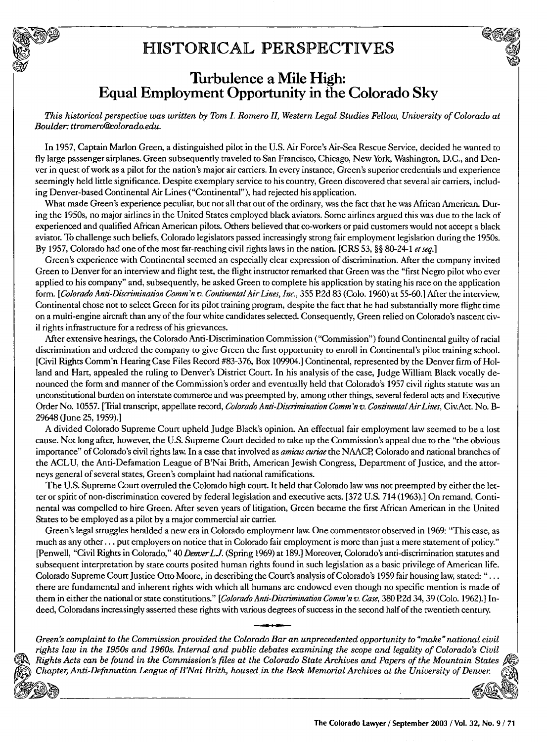# HISTORICAL PERSPECTIVES



*This historical perspective was written by Tom I. Romero II, Western Legal Studies Fellow, University of Colorado at Boulder: ttromero@colorado.edu.*

In 1957, Captain Marion Green, a distinguished pilot in the U.S. Air Force's Air-Sea Rescue Service, decided he wanted to fly large passenger airplanes. Green subsequently traveled to San Francisco, Chicago, New York, Washington, D.C., and Denver in quest of work as a pilot for the nation's major air carriers. In every instance, Green's superior credentials and experience seemingly held little significance. Despite exemplary service to his country, Green discovered that several air carriers, including Denver-based Continental Air Lines ("Continental"), had rejected his application.

What made Green's experience peculiar, but not all that out of the ordinary, was the fact that he was African American. During the 1950s, no major airlines in the United States employed black aviators. Some airlines argued this was due to the lack of experienced and qualified African American pilots. Others believed that co-workers or paid customers would not accept a black aviator. To challenge such beliefs, Colorado legislators passed increasingly strong fair employment legislation during the 1950s. By 1957, Colorado had one of the most far-reaching civil rights laws in the nation. [CRS 53, §§ 80-24-1 *etseq.]*

Green's experience with Continental seemed an especially clear expression of discrimination. After the company invited Green to Denver for an interview and flight test, the flight instructor remarked that Green was the "first Negro pilot who ever applied to his company" and, subsequently, he asked Green to complete his application by stating his race on the application form. *[Colorado Anti-Discrimination Comm'n v. Continental Air Lines, Inc.*, 355 P.2d 83 (Colo. 1960) at 55-60.] After the interview, Continental chose not to select Green for its pilot training program, despite the fact that he had substantially more flight time on a multi-engine aircraft than any of the four white candidates selected. Consequently, Green relied on Colorado's nascent civil rights infrastructure for a redress of his grievances.

After extensive hearings, the Colorado Anti-Discrimination Commission ("Commission") found Continental guilty of racial discrimination and ordered the company to give Green the first opportunity to enroll in Continental's pilot training school. [Civil Rights Comm'n Hearing Case Files Record #83-376, Box 109904.] Continental, represented by the Denver firm of Holland and Hart, appealed the ruling to Denver's District Court. In his analysis of the case, Judge William Black vocally denounced the form and manner of the Commission's order and eventually held that Colorado's 1957 civil rights statute was an unconstitutional burden on interstate commerce and was preempted by, among other things, several federal acts and Executive Order No. 10557. [Trial transcript, appellate record, *Colorado Anti-Discrimination Comm'n v. Continental Air Lines*, Civ.Act. No. B-29648 (June 25, 1959).]

A divided Colorado Supreme Court upheld Judge Black's opinion. An effectual fair employment law seemed to be a lost cause. Not long after, however, the U.S. Supreme Court decided to take up the Commission's appeal due to the "the obvious importance" of Colorado's civil rights law. In a case that involved as *amicus curiae* the NAACP, Colorado and national branches of the ACLU, the Anti-Defamation League of B'Nai Brith, American Jewish Congress, Department of Justice, and the attorneys general of several states, Green's complaint had national ramifications.

The U.S. Supreme Court overruled the Colorado high court. It held that Colorado law was not preempted by either the letter or spirit of non-discrimination covered by federal legislation and executive acts. [372 U.S. 714 (1963).] On remand, Continental was compelled to hire Green. After seven years of litigation, Green became the first African American in the United States to be employed as a pilot by a major commercial air carrier.

Green's legal struggles heralded a new era in Colorado employment law. One commentator observed in 1969: "This case, as much as any other... put employers on notice that in Colorado fair employment is more than just a mere statement of policy." [Penwell, "Civil Rights in Colorado," 40 *DenverLJ.* (Spring 1969) at 189.] Moreover, Colorado's anti-discrimination statutes and subsequent interpretation by state courts posited human rights found in such legislation as a basic privilege of American life. Colorado Supreme Court Justice Otto Moore, in describing the Court's analysis of Colorado's 1959 fair housing law, stated: "... there are fundamental and inherent rights with which all humans are endowed even though no specific mention is made of them in either the national or state constitutions." *[Colorado Anti-Discrimination Comm'n v. Case,* 380 P2d 34, 39 (Colo. 1962).] Indeed, Coloradans increasingly asserted these rights with various degrees of success in the second half of the twentieth century.

*Green's complaint to the Commission provided the Colorado Bar an unprecedented opportunity to "make" national civil rights law in the 1950s and 1960s. Internal and public debates examining the scope and legality of Colorado's Civil Rights Acts can be found in the Commission's files at the Colorado State Archives and Papers of the Mountain States Chapter, Anti-Defamation League of B'Nai Brith, housed in the Beck Memorial Archives at the University of Denver*

**.t**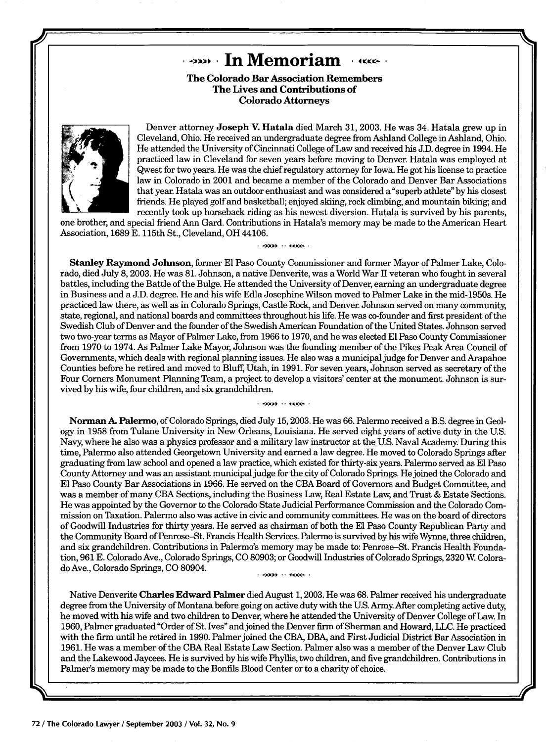# **In Memoriam** *AKKE*

**The Colorado Bar Association Remembers The Lives and Contributions of Colorado Attorneys**



Denver attorney **Joseph V. Hatala** died March **31, 2003.** He was 34. Hatala grew up in Cleveland, Ohio. He received an undergraduate degree from Ashland College in Ashland, Ohio. He attended the University of Cincinnati College of Law and received his J.D. degree in 1994. He practiced law in Cleveland for seven years before moving to Denver. Hatala was employed at Qwest for two years. He was the chief regulatory attorney for Iowa. He got his license to practice law in Colorado in 2001 and became a member of the Colorado and Denver Bar Associations that year. Hatala was an outdoor enthusiast and was considered a "superb athlete" by his closest friends. He played golf and basketball; enjoyed skiing, rock climbing, and mountain biking; and recently took up horseback riding as his newest diversion. Hatala is survived by his parents,

one brother, and special friend Ann Gard. Contributions in Hatala's memory may be made to the American Heart Association, 1689 **E.** 115th St., Cleveland, OH 44106.

 $-3999 + 114886 - 1$ 

**Stanley Raymond** Johnson, former **El** Paso County Commissioner and former Mayor of Palmer Lake, Colorado, died July 8, 2003. He was **81.** Johnson, a native Denverite, was a World War II veteran who fought in several battles, including the Battle of the Bulge. He attended the University of Denver, earning an undergraduate degree in Business and a **J.D.** degree. He and his wife Edla Josephine Wilson moved to Palmer Lake in the mid-1950s. He practiced law there, as well as in Colorado Springs, Castle Rock, and Denver. Johnson served on many community, state, regional, and national boards and committees throughout his life. He was co-founder and first president of the Swedish Club of Denver and the founder of the Swedish American Foundation of the United States. Johnson served two two-year terms as Mayor of Palmer Lake, from **1966** to **1970,** and he was elected **El** Paso County Commissioner from **1970** to 1974. As Palmer Lake Mayor, Johnson was the founding member of the Pikes Peak Area Council of Governments, which deals with regional planning issues. He also was a municipal judge for Denver and Arapahoe Counties before he retired and moved to Bluff, Utah, in 1991. For seven years, Johnson served as secretary of the Four Corners Monument Planning Team, a project to develop a visitors' center at the monument. Johnson is survived **by** his wife, four children, and six grandchildren.

Norman **A.** Palermo, of Colorado Springs, died July 15,2003. He was 66. Palermo received a B.S. degree in Geology in 1958 from Tulane University in New Orleans, Louisiana. He served eight years of active duty in the U.S. Navy, where he also was a physics professor and a military law instructor at the U.S. Naval Academy. During this time, Palermo also attended Georgetown University and earned a law degree. He moved to Colorado Springs after graduating from law school and opened a law practice, which existed for thirty-six years. Palermo served as **El** Paso County Attorney and was an assistant municipal judge for the city of Colorado Springs. He joined the Colorado and **El** Paso County Bar Associations in 1966. He served on the CBA Board of Governors and Budget Committee, and was a member of many CBA Sections, including the Business Law, Real Estate Law, and Trust & Estate Sections. He was appointed by the Governor to the Colorado State Judicial Performance Commission and the Colorado Commission on Taxation. Palermo also was active in civic and community committees. He was on the board of directors of Goodwill Industries for thirty years. He served as chairman of both the **El** Paso County Republican Party and the Community Board of Penrose-St. Francis Health Services. Palermo is survived by his wife Wynne, three children, and six grandchildren. Contributions in Palermo's memory may be made to: Penrose-St. Francis Health Foundation, 961 E. Colorado Ave., Colorado Springs, CO 80903; or Goodwill Industries of Colorado Springs, 2320 W Colorado Ave., Colorado Springs, CO 80904. 

Native Denverite Charles Edward Palmer died August 1, 2003. He was 68. Palmer received his undergraduate degree from the University of Montana before going on active duty with the U.S. Army. After completing active duty, he moved with his wife and two children to Denver, where he attended the University of Denver College of Law. In 1960, Palmer graduated"Order of St. Ives" and joined the Denver firm of Sherman and Howard, LLC. He practiced with the firm until he retired in 1990. Palmer joined the CBA, DBA, and First Judicial District Bar Association in 1961. He was a member of the CBA Real Estate Law Section. Palmer also was a member of the Denver Law Club and the Lakewood Jaycees. He is survived by his wife Phyllis, two children, and five grandchildren. Contributions in Palmer's memory may be made to the Bonfils Blood Center or to a charity of choice.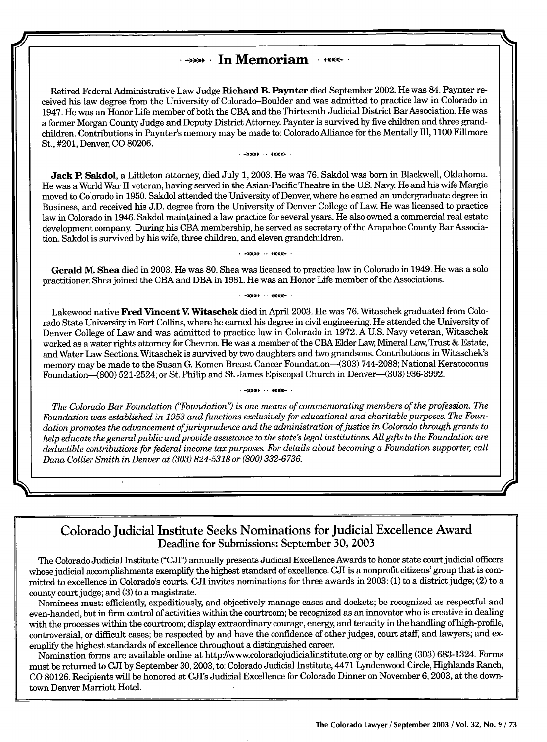### **In Memoriam** *•***••••**

Retired Federal Administrative Law Judge Richard B. Paynter died September 2002. He was 84. Paynter received his law degree from the University of Colorado-Boulder and was admitted to practice law in Colorado in 1947. He was an Honor Life member of both the **CBA** and the Thirteenth Judicial District Bar Association. He was a former Morgan County Judge and Deputy District Attorney. Paynter is survived **by** five children and three grandchildren. Contributions in Paynter's memory may be made to: Colorado Alliance for the Mentally Ill, 1100 Fillmore St., #201, Denver, **CO** 80206.

 $\rightarrow$  +333+  $\rightarrow$  +4000+  $\rightarrow$ 

Jack P. Sakdol, a Littleton attorney, died July **1,** 2003. He was **76.** Sakdol was born in Blackwell, Oklahoma. He was a World War II veteran, having served in the Asian-Pacific Theatre in the U.S. Navy. He and his wife Margie moved to Colorado in **1950.** Sakdol attended the University of Denver, where he earned an undergraduate degree in Business, and received his **J.D.** degree from the University of Denver College of Law. He was licensed to practice law in Colorado in 1946. Sakdol maintained a law practice for several years. He also owned a commercial real estate development company. During his CBA membership, he served as secretary of the Arapahoe County Bar Association. Sakdol is survived **by** his wife, three children, and eleven grandchildren.

 $-2229 + 1144666 + 1$ 

Gerald M. Shea died in **2003.** He was 80. Shea was licensed to practice law in Colorado in 1949. He was a solo practitioner. Shea joined the **CBA** and DBA in 1981. He was an Honor Life member of the Associations.

 $-2229 + 114666 + 1$ 

Lakewood native Fred Vincent V. Witaschek died in April 2003. He was 76. Witaschek graduated from Colorado State University in Fort Collins, where he earned his degree in civil engineering. He attended the University of Denver College of Law and was admitted to practice law in Colorado in **1972.** A U.S. Navy veteran, Witaschek worked as a water rights attorney for Chevron. He was a member of the **CBA** Elder Law, Mineral Law, Trust **&** Estate, and Water Law Sections. Witaschek is survived by two daughters and two grandsons. Contributions in Witaschek's memory may be made to the Susan **G.** Komen Breast Cancer Foundation-(303) 744-2088; National Keratoconus Foundation-(800) 521-2524; or St. Philip and St. James Episcopal Church in Denver-(303) **936-3992.**

 $-2229 + 114866 + 1$ *The Colorado Bar Foundation ("Foundation") is one means of commemorating members of the profession. The Foundation was established in 1953 and functions exclusively for educational and charitable purposes. The Foundation promotes the advancement ofjurisprudence and the administration ofjustice in Colorado through grants to help educate the general public and provide assistance to the state's legal institutions. All gifts to the Foundation are deductible contributions for federal income tax purposes. For details about becoming a Foundation supporter, call*

*Dana Collier Smith in Denver at (303) 824-5318 or (800) 332-6736.*

Colorado Judicial Institute Seeks Nominations for Judicial Excellence Award Deadline for Submissions: September **30,** 2003

The Colorado Judicial Institute ("CJI") annually presents Judicial Excellence Awards to honor state court judicial officers whose judicial accomplishments exemplify the highest standard of excellence. CJI is a nonprofit citizens' group that is committed to excellence in Colorado's courts. CJI invites nominations for three awards in 2003: (1) to a district judge; (2) to a county court judge; and (3) to a magistrate.

Nominees must: efficiently, expeditiously, and objectively manage cases and dockets; be recognized as respectful and even-handed, but in firm control of activities within the courtroom; be recognized as an innovator who is creative in dealing with the processes within the courtroom; display extraordinary courage, energy, and tenacity in the handling of high-profile, controversial, or difficult cases; be respected by and have the confidence of other judges, court staff, and lawyers; and exemplify the highest standards of excellence throughout a distinguished career.

Nomination forms are available online at http'/www.coloradojudicialinstitute.org or by calling (303) 683-1324. Forms must be returned to CJI by September 30,2003, to: Colorado Judicial Institute, 4471 Lyndenwood Circle, Highlands Ranch, CO 80126. Recipients will be honored at CJIs Judicial Excellence for Colorado Dinner on November 6,2003, at the downtown Denver Marriott Hotel.